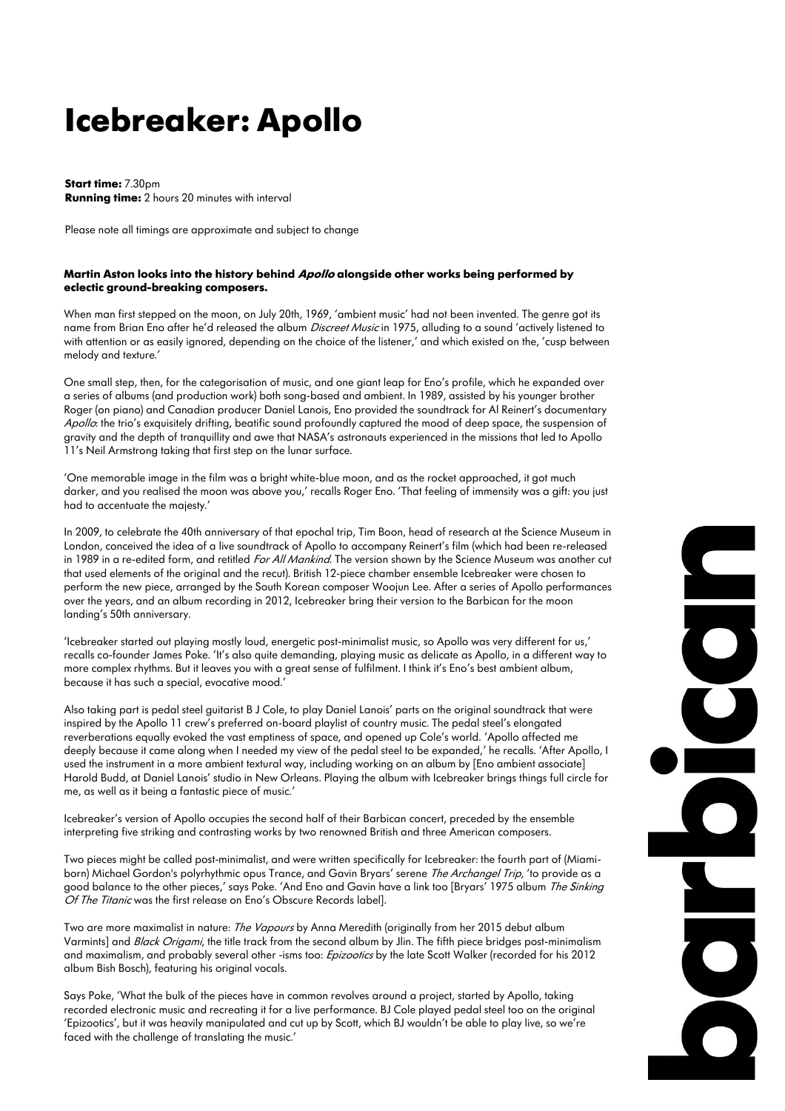## **Icebreaker: Apollo**

**Start time:** 7.30pm **Running time:** 2 hours 20 minutes with interval

Please note all timings are approximate and subject to change

## **Martin Aston looks into the history behind Apollo alongside other works being performed by eclectic ground-breaking composers.**

When man first stepped on the moon, on July 20th, 1969, 'ambient music' had not been invented. The genre got its name from Brian Eno after he'd released the album *Discreet Music* in 1975, alluding to a sound 'actively listened to with attention or as easily ignored, depending on the choice of the listener,' and which existed on the, 'cusp between melody and texture.'

One small step, then, for the categorisation of music, and one giant leap for Eno's profile, which he expanded over a series of albums (and production work) both song-based and ambient. In 1989, assisted by his younger brother Roger (on piano) and Canadian producer Daniel Lanois, Eno provided the soundtrack for Al Reinert's documentary Apollo: the trio's exquisitely drifting, beatific sound profoundly captured the mood of deep space, the suspension of gravity and the depth of tranquillity and awe that NASA's astronauts experienced in the missions that led to Apollo 11's Neil Armstrong taking that first step on the lunar surface.

'One memorable image in the film was a bright white-blue moon, and as the rocket approached, it got much darker, and you realised the moon was above you,' recalls Roger Eno. 'That feeling of immensity was a gift: you just had to accentuate the majesty.'

In 2009, to celebrate the 40th anniversary of that epochal trip, Tim Boon, head of research at the Science Museum in London, conceived the idea of a live soundtrack of Apollo to accompany Reinert's film (which had been re-released in 1989 in a re-edited form, and retitled For All Mankind. The version shown by the Science Museum was another cut that used elements of the original and the recut). British 12-piece chamber ensemble Icebreaker were chosen to perform the new piece, arranged by the South Korean composer Woojun Lee. After a series of Apollo performances over the years, and an album recording in 2012, Icebreaker bring their version to the Barbican for the moon landing's 50th anniversary.

'Icebreaker started out playing mostly loud, energetic post-minimalist music, so Apollo was very different for us,' recalls co-founder James Poke. 'It's also quite demanding, playing music as delicate as Apollo, in a different way to more complex rhythms. But it leaves you with a great sense of fulfilment. I think it's Eno's best ambient album, because it has such a special, evocative mood.'

Also taking part is pedal steel guitarist B J Cole, to play Daniel Lanois' parts on the original soundtrack that were inspired by the Apollo 11 crew's preferred on-board playlist of country music. The pedal steel's elongated reverberations equally evoked the vast emptiness of space, and opened up Cole's world. 'Apollo affected me deeply because it came along when I needed my view of the pedal steel to be expanded,' he recalls. 'After Apollo, I used the instrument in a more ambient textural way, including working on an album by [Eno ambient associate] Harold Budd, at Daniel Lanois' studio in New Orleans. Playing the album with Icebreaker brings things full circle for me, as well as it being a fantastic piece of music.'

Icebreaker's version of Apollo occupies the second half of their Barbican concert, preceded by the ensemble interpreting five striking and contrasting works by two renowned British and three American composers.

Two pieces might be called post-minimalist, and were written specifically for Icebreaker: the fourth part of (Miamiborn) Michael Gordon's polyrhythmic opus Trance, and Gavin Bryars' serene The Archangel Trip, 'to provide as a good balance to the other pieces,' says Poke. 'And Eno and Gavin have a link too [Bryars' 1975 album The Sinking Of The Titanic was the first release on Eno's Obscure Records label].

Two are more maximalist in nature: The Vapours by Anna Meredith (originally from her 2015 debut album Varmints] and Black Origami, the title track from the second album by Jlin. The fifth piece bridges post-minimalism and maximalism, and probably several other -isms too: Epizootics by the late Scott Walker (recorded for his 2012 album Bish Bosch), featuring his original vocals.

Says Poke, 'What the bulk of the pieces have in common revolves around a project, started by Apollo, taking recorded electronic music and recreating it for a live performance. BJ Cole played pedal steel too on the original 'Epizootics', but it was heavily manipulated and cut up by Scott, which BJ wouldn't be able to play live, so we're faced with the challenge of translating the music.'